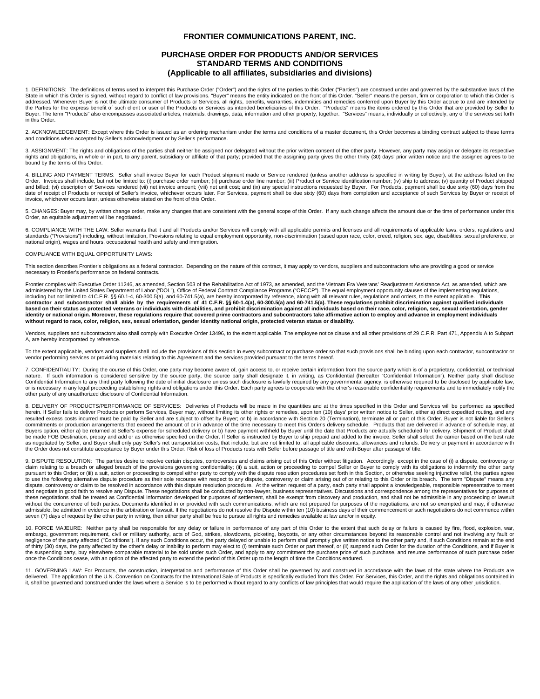## **FRONTIER COMMUNICATIONS PARENT, INC.**

## **PURCHASE ORDER FOR PRODUCTS AND/OR SERVICES STANDARD TERMS AND CONDITIONS (Applicable to all affiliates, subsidiaries and divisions)**

1. DEFINITIONS: The definitions of terms used to interpret this Purchase Order ("Order") and the rights of the parties to this Order ("Parties") are construed under and governed by the substantive laws of the State in which this Order is signed, without regard to conflict of law provisions. "Buyer" means the entity indicated on the front of this Order. "Seller" means the person, firm or corporation to which this Order is addressed. Whenever Buyer is not the ultimate consumer of Products or Services, all rights, benefits, warranties, indemnities and remedies conferred upon Buyer by this Order accrue to and are intended by<br>the Parties for th Buyer. The term "Products" also encompasses associated articles, materials, drawings, data, information and other property, together. "Services" means, individually or collectively, any of the services set forth in this Order.

2. ACKNOWLEDGEMENT: Except where this Order is issued as an ordering mechanism under the terms and conditions of a master document, this Order becomes a binding contract subject to these terms and conditions when accepted by Seller's acknowledgment or by Seller's performance.

3. ASSIGNMENT: The rights and obligations of the parties shall neither be assigned nor delegated without the prior written consent of the other party. However, any party may assign or delegate its respective rights and obligations, in whole or in part, to any parent, subsidiary or affiliate of that party; provided that the assigning party gives the other thirty (30) days' prior written notice and the assignee agrees to be bound by the terms of this Order.

4. BILLING AND PAYMENT TERMS: Seller shall invoice Buyer for each Product shipment made or Service rendered (unless another address is specified in writing by Buyer), at the address listed on the Order. Invoices shall include, but not be limited to: (i) purchase order number; (ii) purchase order line number; (iii) Product or Service identification number; (iv) ship to address; (v) quantity of Product shipped and billed; (vi) description of Services rendered (vii) net invoice amount; (viii) net unit cost; and (ix) any special instructions requested by Buyer. For Products, payment shall be due sixty (60) days from and acceptance invoice, whichever occurs later, unless otherwise stated on the front of this Order.

5. CHANGES: Buyer may, by written change order, make any changes that are consistent with the general scope of this Order. If any such change affects the amount due or the time of performance under this Order, an equitable adjustment will be negotiated.

6. COMPLIANCE WITH THE LAW: Seller warrants that it and all Products and/or Services will comply with all applicable permits and licenses and all requirements of applicable laws, orders, regulations and<br>standards ("Provisi national origin), wages and hours, occupational health and safety and immigration.

## COMPLIANCE WITH EQUAL OPPORTUNITY LAWS:

This section describes Frontier's obligations as a federal contractor. Depending on the nature of this contract, it may apply to vendors, suppliers and subcontractors who are providing a good or service necessary to Frontier's performance on federal contracts.

Frontier complies with Executive Order 11246, as amended, Section 503 of the Rehabilitation Act of 1973, as amended, and the Vietnam Era Veterans' Readjustment Assistance Act, as amended, which are administered by the United States Department of Labor ("DOL"), Office of Federal Contract Compliance Programs ("OFCCP"). The equal employment opportunity clauses of the implementing regulations,<br>including but not limited t contractor and subcontractor shall abide by the requirements of 41 C.F.R. §§ 60-1.4(a), 60-300.5(a) and 60-741.5(a). These regulations prohibit discrimination against qualified individuals **based on their status as protected veterans or individuals with disabilities, and prohibit discrimination against all individuals based on their race, color, religion, sex, sexual orientation, gender identity or national origin. Moreover, these regulations require that covered prime contractors and subcontractors take affirmative action to employ and advance in employment individuals without regard to race, color, religion, sex, sexual orientation, gender identity national origin, protected veteran status or disability.**

Vendors, suppliers and subcontractors also shall comply with Executive Order 13496, to the extent applicable. The employee notice clause and all other provisions of 29 C.F.R. Part 471, Appendix A to Subpart A, are hereby incorporated by reference.

To the extent applicable, vendors and suppliers shall include the provisions of this section in every subcontracto r purchase order so that such provisions shall be binding upon each contractor, subcontractor or vendor performing services or providing materials relating to this Agreement and the services provided pursuant to the terms hereof.

7. CONFIDENTIALITY: During the course of this Order, one party may become aware of, gain access to, or receive certain information from the source party which is of a proprietary, confidential, or technical nature. If such information is considered sensitive by the source party, the source party shall designate it, in writing, as Confidential (hereafter "Confidential Information"). Neither party shall disclose Confidential Information to any third party following the date of initial disclosure unless such disclosure is lawfully required by any governmental agency, is otherwise required to be disclosed by applicable law,<br>or is ne

8. DELIVERY OF PRODUCTS/PERFORMANCE OF SERVICES: Deliveries of Products will be made in the quantities and at the times specified in this Order and Services will be performed as specified herein. If Seller fails to deliver Products or perform Services, Buyer may, without limiting its other rights or remedies, upon ten (10) days' prior written notice to Seller, either a) direct expedited routing, and any resulted excess costs incurred must be paid by Seller and are subject to offset by Buyer; or b) in accordance with Section 20 (Termination), terminate all or part of this Order. Buyer is not liable for Seller's<br>commitments Buyers option, either a) be returned at Seller's expense for scheduled delivery or b) have payment withheld by Buyer until the date that Products are actually scheduled for delivery. Shipment of Product shall be made FOB Destination, prepay and add or as otherwise specified on the Order. If Seller is instructed by Buyer to ship prepaid and added to the invoice, Seller shall select the carrier based on the best rate<br>as negotiate the Order does not constitute acceptance by Buyer under this Order. Risk of loss of Products rests with Seller before passage of title and with Buyer after passage of title.

9. DISPUTE RESOLUTION: The parties desire to resolve certain disputes, controversies and claims arising out of this Order without litigation. Accordingly, except in the case of (i) a dispute, controversy or claim relating to a breach or alleged breach of the provisions governing confidentiality; (ii) a suit, action or proceeding to compel Seller or Buyer to comply with its obligations to indemnify the other party or suit, act and negotiate in good faith to resolve any Dispute. These negotiations shall be conducted by non-lawyer, business representatives. Discussions and correspondence among the representatives for purposes of these negotiations shall be treated as Confidential Information developed for purposes of settlement, shall be exempt from discovery and production, and shall not be admissible in any proceeding or lawsuit without the concurrence of both parties. Documents identified in or provided with such communications, which are not prepared for purposes of the negotiations, are not so exempted and may, if otherwise admissible, be admitted in evidence in the arbitration or lawsuit. If the negotiations do not resolve the Dispute within ten (10) business days of their commencement or such negotiations do not commence within seven (7) days of request by the other party in writing, then either party shall be free to pursue all rights and remedies available at law and/or in equity.

10. FORCE MAJEURE: Neither party shall be responsible for any delay or failure in performance of any part of this Order to the extent that such delay or failure is caused by fire, flood, explosion, war,<br>embargo, government negligence of the party affected ("Conditions"). If any such Conditions occur, the party delayed or unable to perform shall promptly give written notice to the other party and, if such Conditions remain at the end of thirty (30) days, the party affected by the other's delay or inability to perform may elect to (i) terminate such Order or part thereof, or (ii) suspend such Order for the duration of the Conditions, and if Buyer is<br>the once the Conditions cease, with an option of the affected party to extend the period of this Order up to the length of time the Conditions endured.

11. GOVERNING LAW: For Products, the construction, interpretation and performance of this Order shall be governed by and construed in accordance with the laws of the state where the Products are delivered. The application of the U.N. Convention on Contracts for the International Sale of Products is specifically excluded from this Order. For Services, this Order, and the rights and obligations contained in<br>it, shal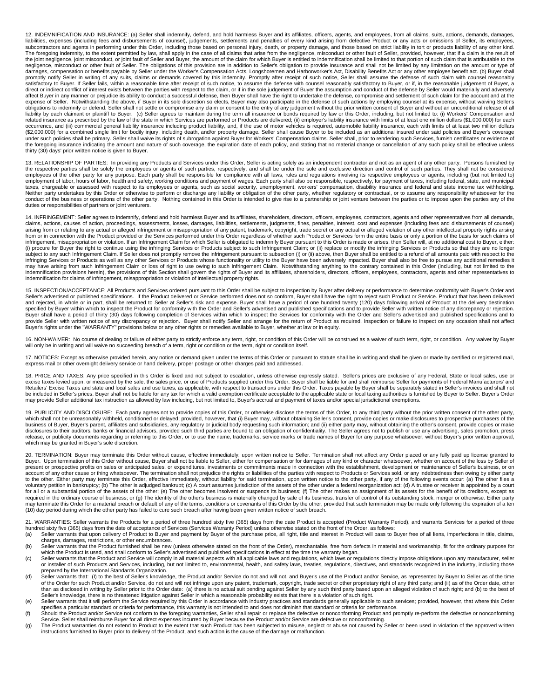12. INDEMNIFICATION AND INSURANCE: (a) Seller shall indemnify, defend, and hold harmless Buyer and its affiliates, officers, agents, and employees, from all claims, suits, actions, demands, damages, liabilities, expenses (including fees and disbursements of counsel), judgements, settlements and penalties of every kind arising from defective Product or any acts or omissions of Seller, its employees, subcontractors and negligence, misconduct or other fault of Seller. The obligations of this provision are in addition to Seller's obligation to provide insurance and shall not be limited by any limitation on the amount or type of damages, compensation or benefits payable by Seller under the Worker's Compensation Acts, Longshoremen and Harborworker's Act, Disability Benefits Act or any other employee benefit act. (b) Buyer shall<br>promptly notify Sell satisfactory to Buyer. If Seller fails, within a reasonable time after receipt of such notice, to assume the defense with counsel reasonably satisfactory to Buyer, or if, in the reasonable judgement of Buyer, a direct or indirect conflict of interest exists between the parties with respect to the claim, or if in the sole judgement of Buyer the assumption and conduct of the defense by Seller would materially and adversely affect Buyer in any manner or prejudice its ability to conduct a successful defense, then Buyer shall have the right to undertake the defense, compromise and settlement of such claim for the account and at the expense of Seller. Notwithstanding the above, if Buyer in its sole discretion so elects, Buyer may also participate in the defense of such actions by employing counsel at its expense, without waiving Seller's<br>obligations related insurance as prescribed by the law of the state in which Services are performed or Products are delivered; (ii) employer's liability insurance with limits of at least one million dollars (\$1,000,000) for each occurrence, and (iii) commercial general liability insurance including product liability, and, if the use of motor vehicles is required, automobile liability insurance, each with limits of at least two million dollars (\$2,000,000) for a combined single limit for bodily injury, including death, and/or property damage. Seller shall cause Buyer to be included as an additional insured under said policies and Buyer's coverage<br>under such poli thirty (30) days' prior written notice is given to Buyer.

13. RELATIONSHIP OF PARTIES: In providing any Products and Services under this Order, Seller is acting solely as an independent contractor and not as an agent of any other party. Persons furnished by the respective parties shall be solely the employees or agents of such parties, respectively, and shall be under the sole and exclusive direction and control of such parties. They shall not be considered<br>employees of the o employment of labor, hours of labor, health and safety, working conditions and payment of wages. Each party shall also be responsible, respectively, for payment of taxes, including federal, state, and municipal<br>taxes, char conduct of the business or operations of the other party. Nothing contained in this Order is intended to give rise to a partnership or joint venture between the parties or to impose upon the parties any of the<br>duties or re

14. INFRINGEMENT: Seller agrees to indemnify, defend and hold harmless Buyer and its affiliates, shareholders, directors, officers, employees, contractors, agents and other representatives from all demands,<br>claims, actions arising from or relating to any actual or alleged infringement or misappropriation of any patent, trademark, copyright, trade secret or any actual or alleged violation of any other intellectual property rights arising<br>from infringement, misappropriation or violation. If an Infringement Claim for which Seller is obligated to indemnify Buyer pursuant to this Order is made or arises, then Seller will, at no additional cost to Buyer, either: (i) procure for Buyer the right to continue using the infringing Services or Products subject to such Infringement Claim; or (ii) replace or modify the infringing Services or Products so that they are no longer<br>subject to infringing Services or Products as well as any other Services or Products whose functionality or utility to the Buyer have been adversely impacted. Buyer shall also be free to pursue any additional remedies it<br>may have ari indemnification for claims of infringement, misappropriation or violation of intellectual property rights.

15. INSPECTION/ACCEPTANCE: All Products and Services ordered pursuant to this Order shall be subject to inspection by Buyer after delivery or performance to determine conformity with Buyer's Order and<br>Seller's advertised o and rejected, in whole or in part, shall be returned to Seller at Seller's risk and expense. Buyer shall have a period of one hundred twenty (120) days following arrival of Product at the delivery destination specified by Buyer within which to inspect the Product for conformity with the Order and Seller's advertised and published specifications and to provide Seller with written notice of any discrepancy or rejection.<br>Buyer sha provide Seller with written notice of any discrepancy or rejection. Buyer shall notify Seller and arrange for the return of Product as required. Inspection or failure to inspect on any occasion shall not affect<br>Buyer's rig

16. NON-WAIVER: No course of dealing or failure of either party to strictly enforce any term, right, or condition of this Order will be construed as a waiver of such term, right, or condition. Any waiver by Buyer will only be in writing and will waive no succeeding breach of a term, right or condition or the term, right or condition itself.

17. NOTICES: Except as otherwise provided herein, any notice or demand given under the terms of this Order or pursuant to statute shall be in writing and shall be given or made by certified or registered mail, express mail or other overnight delivery service or hand delivery, proper postage or other charges paid and addressed.

18. PRICE AND TAXES: Any price specified in this Order is fixed and not subject to escalation, unless otherwise expressly stated. Seller's prices are exclusive of any Federal, State or local sales, use or excise taxes levied upon, or measured by the sale, the sales price, or use of Products supplied under this Order. Buyer shall be liable for and shall reimburse Seller for payments of Federal Manufacturers' and Retailers' Excise Taxes and state and local sales and use taxes, as applicable, with respect to transactions under this Order. Taxes payable by Buyer shall be separately stated in Seller's invoices and shall not<br>be include may provide Seller additional tax instruction as allowed by law including, but not limited to, Buyer's accrual and payment of taxes and/or special jurisdictional exemptions

19. PUBLICITY AND DISCLOSURE: Each party agrees not to provide copies of this Order, or otherwise disclose the terms of this Order, to any third party without the prior written consent of the other party, which shall not be unreasonably withheld, conditioned or delayed; provided, however, that (i) Buyer may, without obtaining Seller's consent, provide copies or make disclosures to prospective purchasers of the<br>business of B disclosures to their auditors, banks or financial advisors, provided such third parties are bound to an obligation of confidentiality. The Seller agrees not to publish or use any advertising, sales promotion, press release, or publicity documents regarding or referring to this Order, or to use the name, trademarks, service marks or trade names of Buyer for any purpose whatsoever, without Buyer's prior written approval, which may be granted in Buyer's sole discretion.

20. TERMINATION: Buyer may terminate this Order without cause, effective immediately, upon written notice to Seller. Termination shall not affect any Order placed or any fully paid up license granted to Buyer. Upon termination of this Order without cause, Buyer shall not be liable to Seller, either for compensation or for damages of any kind or character whatsoever, whether on account of the loss by Seller of present or prospective profits on sales or anticipated sales, or expenditures, investments or commitments made in connection with the establishment, development or maintenance of Seller's business, or on<br>account of any oth to the other. Either party may terminate this Order, effective immediately, without liability for said termination, upon written notice to the other party, if any of the following events occur: (a) The other files a<br>volunt for all or a substantial portion of the assets of the other; (e) The other becomes insolvent or suspends its business; (f) The other makes an assignment of its assets for the benefit of its creditors, except as required in the ordinary course of business; or (g) The identity of the other's business is materially changed by sale of its business, transfer of control of its outstanding stock, merger or otherwise. Either party<br>may te (10) day period during which the other party has failed to cure such breach after having been given written notice of such breach.

21. WARRANTIES: Seller warrants the Products for a period of three hundred sixty five (365) days from the date Product is accepted (Product Warranty Period), and warrants Services for a period of three hundred sixty five (365) days from the date of acceptance of Services (Services Warranty Period) unless otherwise stated on the front of the Order, as follows:<br>(a) Seller warrants that upon delivery of Product to Buyer and

- charges, damages, restrictions, or other encumbrances.
- (b) Seller warrants that the Product furnished shall be new (unless otherwise stated on the front of the Order), merchantable, free from defects in material and workmanship, fit for the ordinary purpose for which the Product is used, and shall conform to Seller's advertised and published specifications in effect at the time the warranty began.
- (c) Seller warrants that the Product and Service will comply in all material aspects with all applicable laws and regulations, which laws or regulations directly impose obligations upon any manufacturer, seller or installer of such Products and Services, including, but not limited to, environmental, health, and safety laws, treaties, regulations, directives, and standards recognized in the industry, including those
- prepared by the International Standards Organization.<br>(d) Seller warrants that: (I) to the best of Seller's knowledge, the Product and/or Service do not and will not, and Buyer's use of the Product and/or Service, as repre of the Order for such Product and/or Service, do not and will not infringe upon any patent, trademark, copyright, trade secret or other proprietary right of any third party; and (ii) as of the Order date, other<br>than as dis Seller's knowledge, there is no threatened litigation against Seller in which a reasonable probability exists that there is a violation of such right.
- e) Seller warrants that it will perform the Service required by this Order in accordance with industry practices and standards generally applicable to such services; provided, however, that where this Order in accordance w specifies a particular standard or criteria for performance, this warranty is not intended to and does not diminish that standard or criteria for performance.
- (f) Should the Product and/or Service not conform to the foregoing warranties, Seller shall repair or replace the defective or nonconforming Product and promptly re-perform the defective or nonconforming
- Service. Seller shall reimburse Buyer for all direct expenses incurred by Buyer because the Product and/or Service are defective or nonconforming.<br>(g) The Product warranties do not extend to Product to the extent that such instructions furnished to Buyer prior to delivery of the Product, and such action is the cause of the damage or malfunction.